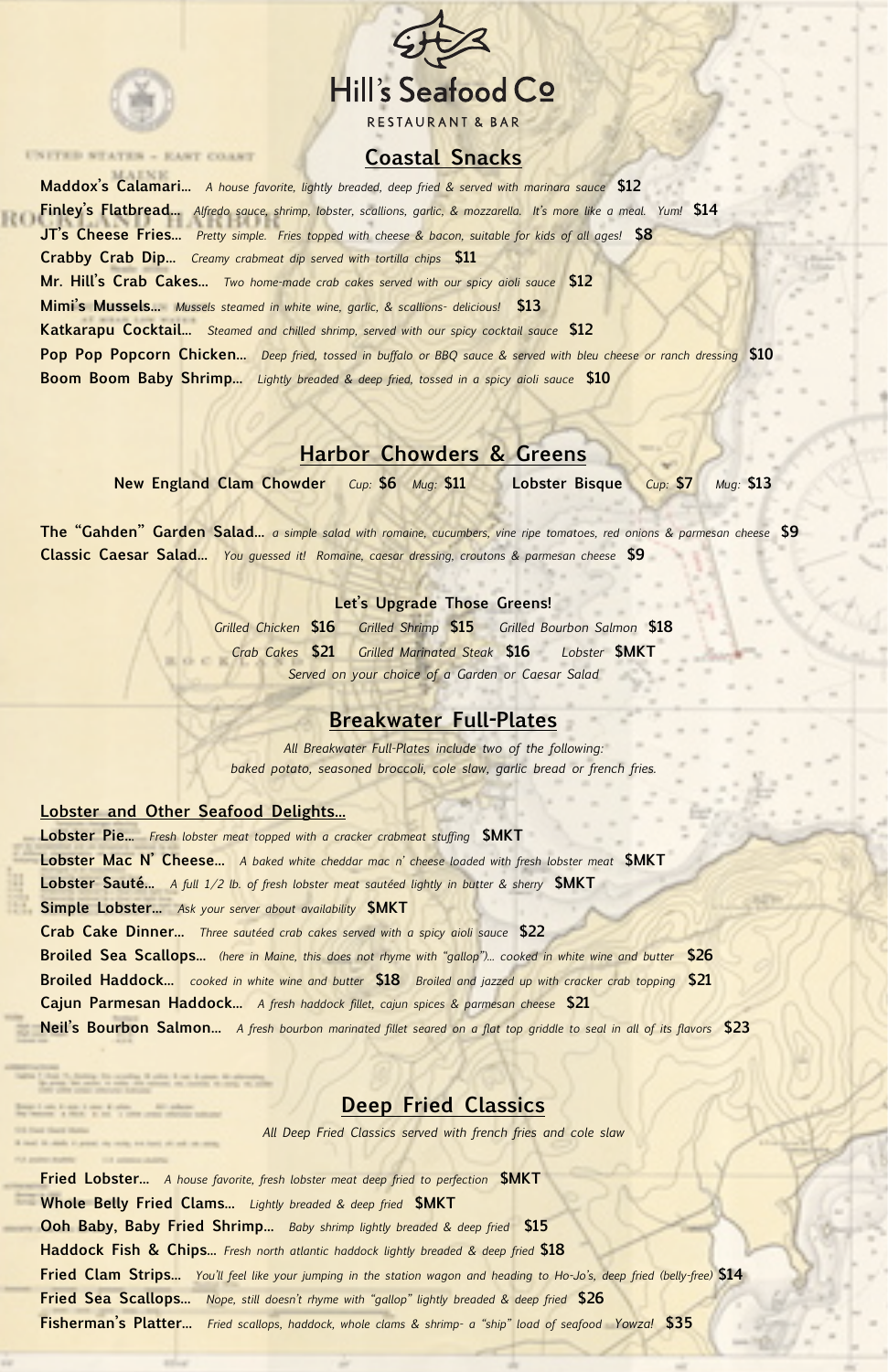

UNITED STATES - EAST COAST



# **Coastal Snacks**

**Maddox's Calamari...** *A house favorite, lightly breaded, deep fried & served with marinara sauce* **\$12 Finley's Flatbread...** *Alfredo sauce, shrimp, lobster, scallions, garlic, & mozzarella. It's more like a meal. Yum!* **\$14 JT's Cheese Fries...** *Pretty simple. Fries topped with cheese & bacon, suitable for kids of all ages!* **\$8 Crabby Crab Dip...** *Creamy crabmeat dip served with tortilla chips* **\$11 Mr. Hill's Crab Cakes...** *Two home-made crab cakes served with our spicy aioli sauce* **\$12 Mimi's Mussels...** *Mussels steamed in white wine, garlic, & scallions- delicious!* **\$13 Katkarapu Cocktail...** *Steamed and chilled shrimp, served with our spicy cocktail sauce* **\$12 Pop Pop Popcorn Chicken...** *Deep fried, tossed in buffalo or BBQ sauce & served with bleu cheese or ranch dressing* **\$10 Boom Boom Baby Shrimp...** *Lightly breaded & deep fried, tossed in a spicy aioli sauce* **\$10**

# **Harbor Chowders & Greens**

**New England Clam Chowder** *Cup:* **\$6** *Mug:* **\$11 Lobster Bisque** *Cup:* **\$7** *Mug:* **\$13**

**The "Gahden" Garden Salad...** *a simple salad with romaine, cucumbers, vine ripe tomatoes, red onions & parmesan cheese* **\$9 Classic Caesar Salad...** *You guessed it! Romaine, caesar dressing, croutons & parmesan cheese* **\$9**

#### **Let's Upgrade Those Greens!**

*Grilled Chicken* **\$16** *Grilled Shrimp* **\$15** *Grilled Bourbon Salmon* **\$18**  *Crab Cakes* **\$21** *Grilled Marinated Steak* **\$16** *Lobster* **\$MKT** *Served on your choice of a Garden or Caesar Salad*

## **Breakwater Full-Plates**

*All Breakwater Full-Plates include two of the following: baked potato, seasoned broccoli, cole slaw, garlic bread or french fries.* 

#### **Lobster and Other Seafood Delights...**

**Lobster Pie..**. *Fresh lobster meat topped with a cracker crabmeat stuffing* **\$MKT Lobster Mac N' Cheese...** *A baked white cheddar mac n' cheese loaded with fresh lobster meat* **\$MKT Lobster Sauté...** *A full 1/2 lb. of fresh lobster meat sautéed lightly in butter & sherry* **\$MKT Simple Lobster...** *Ask your server about availability* **\$MKT Crab Cake Dinner...** *Three sautéed crab cakes served with a spicy aioli sauce* **\$22 Broiled Sea Scallops...** *(here in Maine, this does not rhyme with "gallop")... cooked in white wine and butter* **\$26** **Broiled Haddock...** *cooked in white wine and butter* **\$18** *Broiled and jazzed up with cracker crab topping* **\$21 Cajun Parmesan Haddock...** *A fresh haddock fillet, cajun spices & parmesan cheese* **\$21**

**Neil's Bourbon Salmon...** *A fresh bourbon marinated fillet seared on a flat top griddle to seal in all of its flavors* **\$23**

### **Deep Fried Classics**

*All Deep Fried Classics served with french fries and cole slaw*

**Fried Lobster...** *A house favorite, fresh lobster meat deep fried to perfection* **\$MKT Whole Belly Fried Clams...** *Lightly breaded & deep fried* **\$MKT Ooh Baby, Baby Fried Shrimp...** *Baby shrimp lightly breaded & deep fried* **\$15 Haddock Fish & Chips...** *Fresh north atlantic haddock lightly breaded & deep fried* **\$18 Fried Clam Strips...** *You'll feel like your jumping in the station wagon and heading to Ho-Jo's, deep fried (belly-free)* **\$14 Fried Sea Scallops...** *Nope, still doesn't rhyme with "gallop" lightly breaded & deep fried* **\$26 Fisherman's Platter...** *Fried scallops, haddock, whole clams & shrimp- a "ship" load of seafood Yowza!* **\$35**